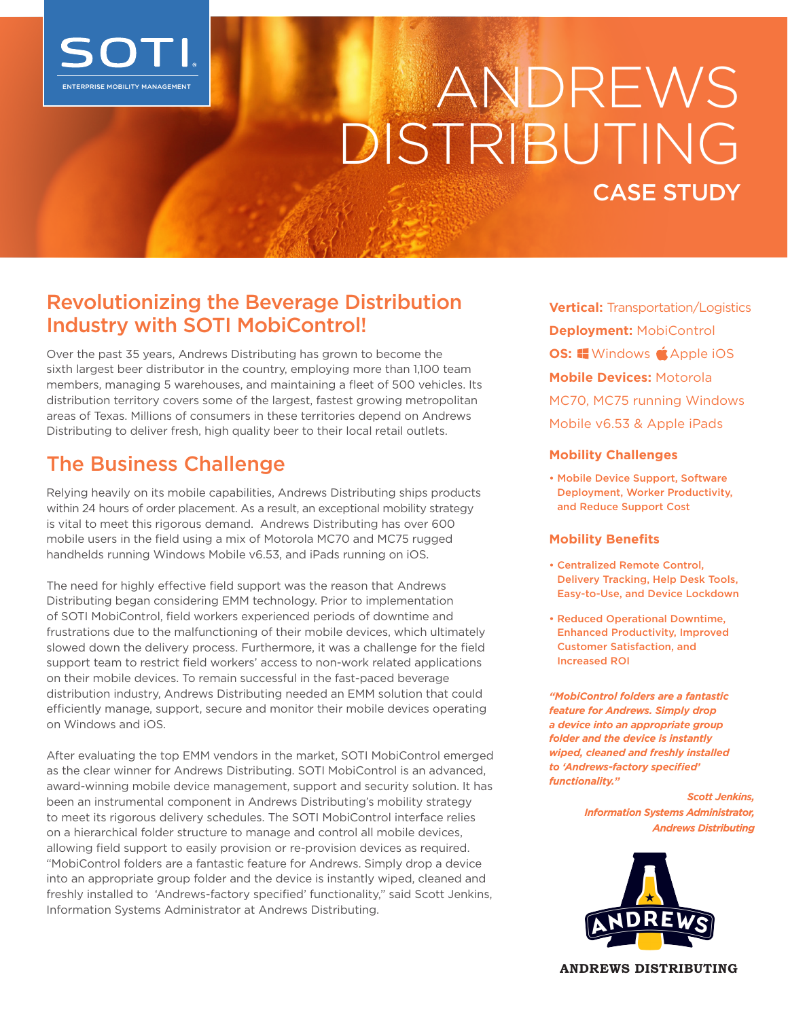

# ENTERPRISE MOBILITY MANAGEMENT DISTRIBUTING CASE STUDY

### Revolutionizing the Beverage Distribution Industry with SOTI MobiControl!

Over the past 35 years, Andrews Distributing has grown to become the sixth largest beer distributor in the country, employing more than 1,100 team members, managing 5 warehouses, and maintaining a fleet of 500 vehicles. Its distribution territory covers some of the largest, fastest growing metropolitan areas of Texas. Millions of consumers in these territories depend on Andrews Distributing to deliver fresh, high quality beer to their local retail outlets.

## The Business Challenge

Relying heavily on its mobile capabilities, Andrews Distributing ships products within 24 hours of order placement. As a result, an exceptional mobility strategy is vital to meet this rigorous demand. Andrews Distributing has over 600 mobile users in the field using a mix of Motorola MC70 and MC75 rugged handhelds running Windows Mobile v6.53, and iPads running on iOS.

The need for highly effective field support was the reason that Andrews Distributing began considering EMM technology. Prior to implementation of SOTI MobiControl, field workers experienced periods of downtime and frustrations due to the malfunctioning of their mobile devices, which ultimately slowed down the delivery process. Furthermore, it was a challenge for the field support team to restrict field workers' access to non-work related applications on their mobile devices. To remain successful in the fast-paced beverage distribution industry, Andrews Distributing needed an EMM solution that could efficiently manage, support, secure and monitor their mobile devices operating on Windows and iOS.

After evaluating the top EMM vendors in the market, SOTI MobiControl emerged as the clear winner for Andrews Distributing. SOTI MobiControl is an advanced, award-winning mobile device management, support and security solution. It has been an instrumental component in Andrews Distributing's mobility strategy to meet its rigorous delivery schedules. The SOTI MobiControl interface relies on a hierarchical folder structure to manage and control all mobile devices, allowing field support to easily provision or re-provision devices as required. "MobiControl folders are a fantastic feature for Andrews. Simply drop a device into an appropriate group folder and the device is instantly wiped, cleaned and freshly installed to 'Andrews-factory specified' functionality," said Scott Jenkins, Information Systems Administrator at Andrews Distributing.

**Vertical:** Transportation/Logistics **Deployment:** MobiControl **OS:** Windows **S**Apple iOS **Mobile Devices:** Motorola MC70, MC75 running Windows Mobile v6.53 & Apple iPads

#### **Mobility Challenges**

• Mobile Device Support, Software Deployment, Worker Productivity, and Reduce Support Cost

#### **Mobility Benefits**

- Centralized Remote Control, Delivery Tracking, Help Desk Tools, Easy-to-Use, and Device Lockdown
- Reduced Operational Downtime, Enhanced Productivity, Improved Customer Satisfaction, and Increased ROI

*"MobiControl folders are a fantastic feature for Andrews. Simply drop a device into an appropriate group folder and the device is instantly wiped, cleaned and freshly installed to 'Andrews-factory specified' functionality."*

> *Scott Jenkins, Information Systems Administrator, Andrews Distributing*



**ANDREWS DISTRIBUTING**